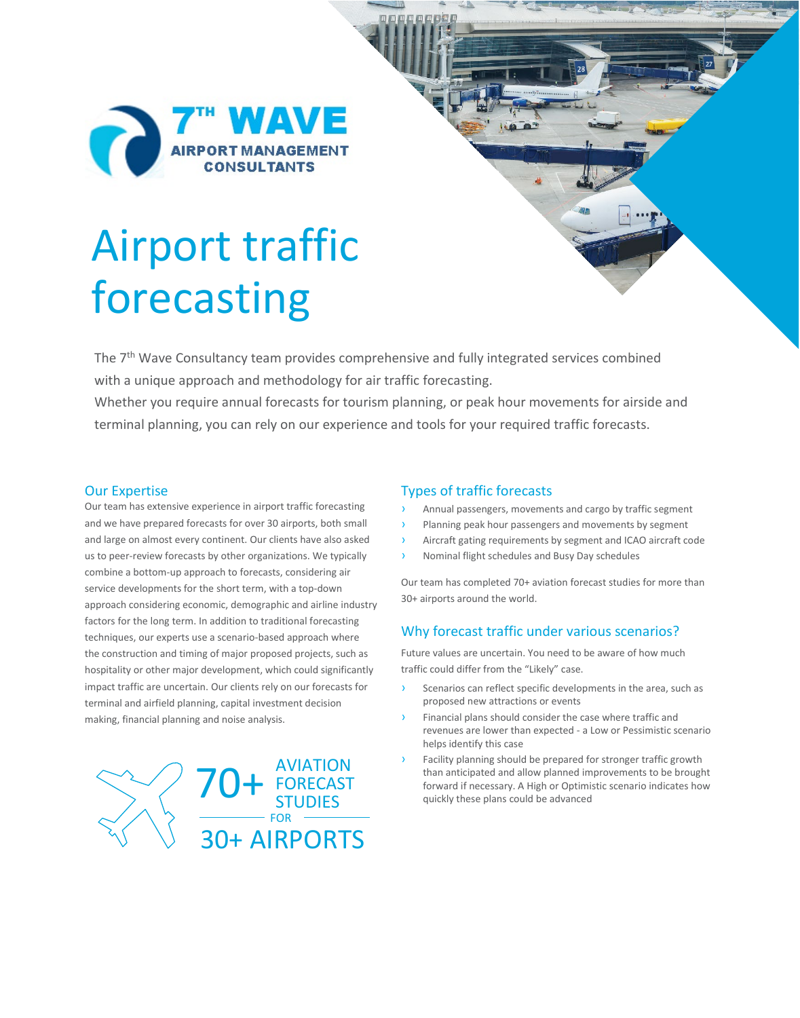

# Airport traffic forecasting

The 7<sup>th</sup> Wave Consultancy team provides comprehensive and fully integrated services combined with a unique approach and methodology for air traffic forecasting.

Whether you require annual forecasts for tourism planning, or peak hour movements for airside and terminal planning, you can rely on our experience and tools for your required traffic forecasts.

#### Our Expertise

Our team has extensive experience in airport traffic forecasting and we have prepared forecasts for over 30 airports, both small and large on almost every continent. Our clients have also asked us to peer-review forecasts by other organizations. We typically combine a bottom-up approach to forecasts, considering air service developments for the short term, with a top-down approach considering economic, demographic and airline industry factors for the long term. In addition to traditional forecasting techniques, our experts use a scenario-based approach where the construction and timing of major proposed projects, such as hospitality or other major development, which could significantly impact traffic are uncertain. Our clients rely on our forecasts for terminal and airfield planning, capital investment decision making, financial planning and noise analysis.



#### Types of traffic forecasts

- Annual passengers, movements and cargo by traffic segment
- Planning peak hour passengers and movements by segment
- Aircraft gating requirements by segment and ICAO aircraft code
- Nominal flight schedules and Busy Day schedules

Our team has completed 70+ aviation forecast studies for more than 30+ airports around the world.

#### Why forecast traffic under various scenarios?

Future values are uncertain. You need to be aware of how much traffic could differ from the "Likely" case.

- Scenarios can reflect specific developments in the area, such as proposed new attractions or events
- Financial plans should consider the case where traffic and revenues are lower than expected - a Low or Pessimistic scenario helps identify this case
- Facility planning should be prepared for stronger traffic growth AVIATION<br>
for than anticipated and allow planned improvements to be brought<br>
forward if necessary. A High or Optimistic scenario indicates how<br>
quickly these plans could be advanced